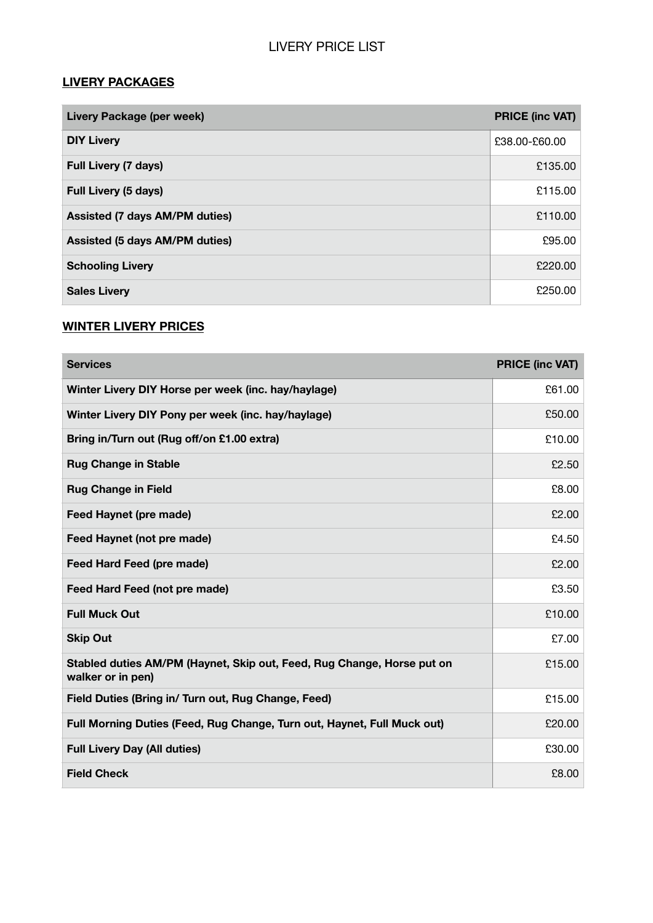#### **LIVERY PACKAGES**

| Livery Package (per week)             | <b>PRICE (inc VAT)</b> |
|---------------------------------------|------------------------|
| <b>DIY Livery</b>                     | £38.00-£60.00          |
| <b>Full Livery (7 days)</b>           | £135.00                |
| <b>Full Livery (5 days)</b>           | £115.00                |
| <b>Assisted (7 days AM/PM duties)</b> | £110.00                |
| <b>Assisted (5 days AM/PM duties)</b> | £95.00                 |
| <b>Schooling Livery</b>               | £220.00                |
| <b>Sales Livery</b>                   | £250.00                |

### **WINTER LIVERY PRICES**

| <b>Services</b>                                                                             | <b>PRICE (inc VAT)</b> |
|---------------------------------------------------------------------------------------------|------------------------|
| Winter Livery DIY Horse per week (inc. hay/haylage)                                         | £61.00                 |
| Winter Livery DIY Pony per week (inc. hay/haylage)                                          | £50.00                 |
| Bring in/Turn out (Rug off/on £1.00 extra)                                                  | £10.00                 |
| <b>Rug Change in Stable</b>                                                                 | £2.50                  |
| <b>Rug Change in Field</b>                                                                  | £8.00                  |
| <b>Feed Haynet (pre made)</b>                                                               | £2.00                  |
| Feed Haynet (not pre made)                                                                  | £4.50                  |
| Feed Hard Feed (pre made)                                                                   | £2.00                  |
| <b>Feed Hard Feed (not pre made)</b>                                                        | £3.50                  |
| <b>Full Muck Out</b>                                                                        | £10.00                 |
| <b>Skip Out</b>                                                                             | £7.00                  |
| Stabled duties AM/PM (Haynet, Skip out, Feed, Rug Change, Horse put on<br>walker or in pen) | £15.00                 |
| Field Duties (Bring in/ Turn out, Rug Change, Feed)                                         | £15.00                 |
| Full Morning Duties (Feed, Rug Change, Turn out, Haynet, Full Muck out)                     | £20.00                 |
| <b>Full Livery Day (All duties)</b>                                                         | £30.00                 |
| <b>Field Check</b>                                                                          | £8.00                  |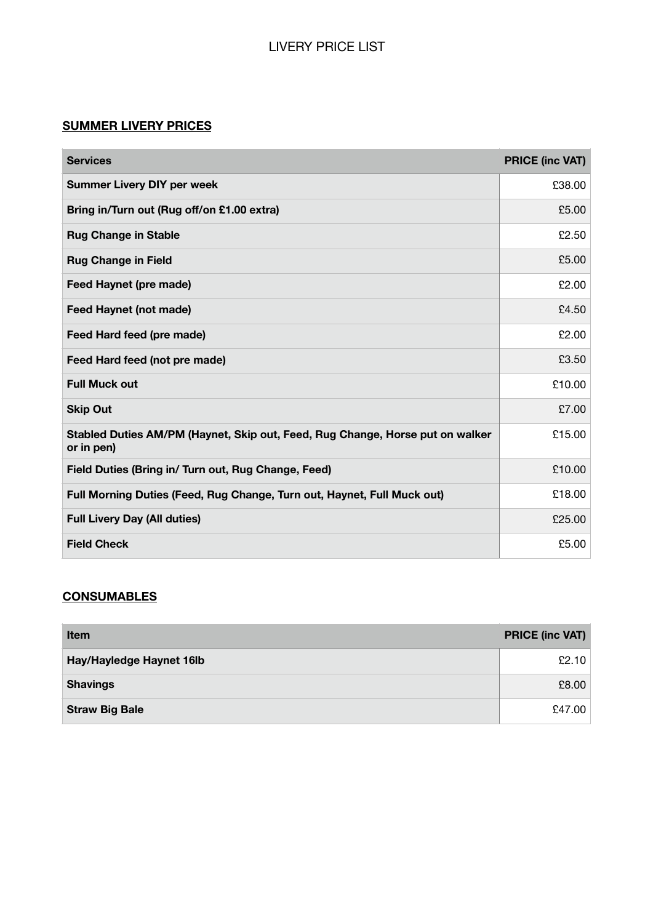# LIVERY PRICE LIST

### **SUMMER LIVERY PRICES**

| <b>Services</b>                                                                             | <b>PRICE (inc VAT)</b> |
|---------------------------------------------------------------------------------------------|------------------------|
| <b>Summer Livery DIY per week</b>                                                           | £38.00                 |
| Bring in/Turn out (Rug off/on £1.00 extra)                                                  | £5.00                  |
| <b>Rug Change in Stable</b>                                                                 | £2.50                  |
| <b>Rug Change in Field</b>                                                                  | £5.00                  |
| <b>Feed Haynet (pre made)</b>                                                               | £2.00                  |
| <b>Feed Haynet (not made)</b>                                                               | £4.50                  |
| Feed Hard feed (pre made)                                                                   | £2.00                  |
| Feed Hard feed (not pre made)                                                               | £3.50                  |
| <b>Full Muck out</b>                                                                        | £10.00                 |
| <b>Skip Out</b>                                                                             | £7.00                  |
| Stabled Duties AM/PM (Haynet, Skip out, Feed, Rug Change, Horse put on walker<br>or in pen) | £15.00                 |
| Field Duties (Bring in/ Turn out, Rug Change, Feed)                                         | £10.00                 |
| Full Morning Duties (Feed, Rug Change, Turn out, Haynet, Full Muck out)                     | £18.00                 |
| <b>Full Livery Day (All duties)</b>                                                         | £25.00                 |
| <b>Field Check</b>                                                                          | £5.00                  |

## **CONSUMABLES**

| <b>Item</b>              | <b>PRICE (inc VAT)</b> |
|--------------------------|------------------------|
| Hay/Hayledge Haynet 16lb | £2.10                  |
| <b>Shavings</b>          | £8.00                  |
| <b>Straw Big Bale</b>    | £47.00                 |